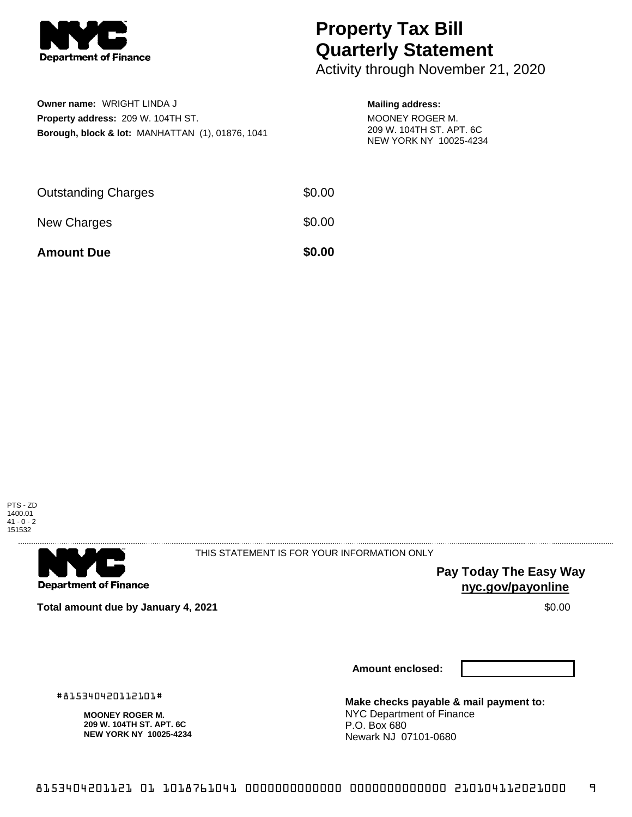

## **Property Tax Bill Quarterly Statement**

Activity through November 21, 2020

| <b>Owner name: WRIGHT LINDA J</b>                           |
|-------------------------------------------------------------|
| <b>Property address: 209 W. 104TH ST.</b>                   |
| <b>Borough, block &amp; lot: MANHATTAN (1), 01876, 1041</b> |

## **Mailing address:** MOONEY ROGER M. 209 W. 104TH ST. APT. 6C NEW YORK NY 10025-4234

| <b>Amount Due</b>          | \$0.00 |
|----------------------------|--------|
| New Charges                | \$0.00 |
| <b>Outstanding Charges</b> | \$0.00 |





THIS STATEMENT IS FOR YOUR INFORMATION ONLY

**Pay Today The Easy Way nyc.gov/payonline**

**Total amount due by January 4, 2021 \$0.00** \$0.00

**Amount enclosed:**

**Make checks payable & mail payment to:** NYC Department of Finance P.O. Box 680 Newark NJ 07101-0680

**MOONEY ROGER M.**

#815340420112101#

**209 W. 104TH ST. APT. 6C NEW YORK NY 10025-4234**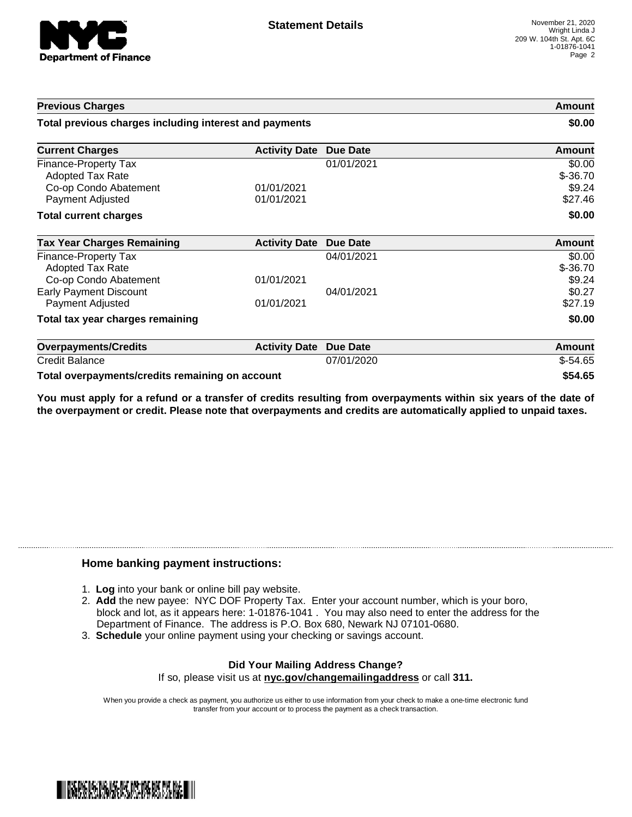

| <b>Previous Charges</b>                                                                      |                          | Amount<br>\$0.00 |                                           |
|----------------------------------------------------------------------------------------------|--------------------------|------------------|-------------------------------------------|
| Total previous charges including interest and payments                                       |                          |                  |                                           |
| <b>Current Charges</b>                                                                       | <b>Activity Date</b>     | Due Date         | Amount                                    |
| Finance-Property Tax<br><b>Adopted Tax Rate</b><br>Co-op Condo Abatement<br>Payment Adjusted | 01/01/2021<br>01/01/2021 | 01/01/2021       | \$0.00<br>$$ -36.70$<br>\$9.24<br>\$27.46 |
| <b>Total current charges</b>                                                                 |                          |                  | \$0.00                                    |
| <b>Tax Year Charges Remaining</b>                                                            | <b>Activity Date</b>     | <b>Due Date</b>  | <b>Amount</b>                             |
| Finance-Property Tax<br>Adopted Tax Rate<br>Co-op Condo Abatement                            | 01/01/2021               | 04/01/2021       | \$0.00<br>$$ -36.70$<br>\$9.24            |
| <b>Early Payment Discount</b><br>Payment Adjusted                                            | 01/01/2021               | 04/01/2021       | \$0.27<br>\$27.19                         |
| Total tax year charges remaining                                                             |                          |                  | \$0.00                                    |
| <b>Overpayments/Credits</b>                                                                  | <b>Activity Date</b>     | <b>Due Date</b>  | <b>Amount</b>                             |
| <b>Credit Balance</b>                                                                        |                          | 07/01/2020       | $$-54.65$                                 |
| Total overpayments/credits remaining on account                                              |                          |                  | \$54.65                                   |

You must apply for a refund or a transfer of credits resulting from overpayments within six years of the date of **the overpayment or credit. Please note that overpayments and credits are automatically applied to unpaid taxes.**

## **Home banking payment instructions:**

- 1. **Log** into your bank or online bill pay website.
- 2. **Add** the new payee: NYC DOF Property Tax. Enter your account number, which is your boro, block and lot, as it appears here: 1-01876-1041 . You may also need to enter the address for the Department of Finance. The address is P.O. Box 680, Newark NJ 07101-0680.
- 3. **Schedule** your online payment using your checking or savings account.

## **Did Your Mailing Address Change?** If so, please visit us at **nyc.gov/changemailingaddress** or call **311.**

When you provide a check as payment, you authorize us either to use information from your check to make a one-time electronic fund transfer from your account or to process the payment as a check transaction.